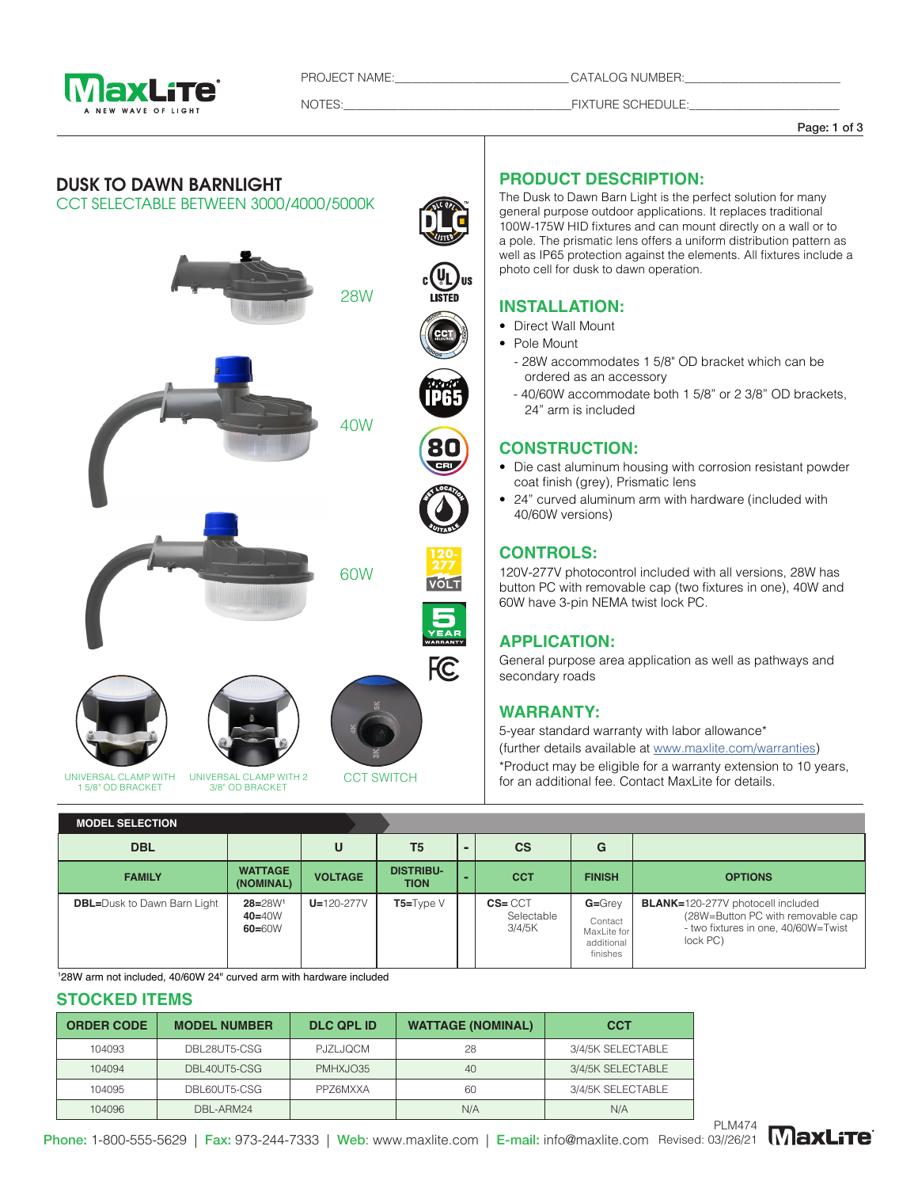

PROJECT NAME:\_\_\_\_\_\_\_\_\_\_\_\_\_\_\_\_\_\_\_\_\_\_\_\_\_\_\_\_\_ CATALOG NUMBER:\_\_\_\_\_\_\_\_\_\_\_\_\_\_\_\_\_\_\_\_\_\_\_\_\_\_

finishes

NOTES:\_\_\_\_\_\_\_\_\_\_\_\_\_\_\_\_\_\_\_\_\_\_\_\_\_\_\_\_\_\_\_\_\_\_\_\_\_\_FIXTURE SCHEDULE:\_\_\_\_\_\_\_\_\_\_\_\_\_\_\_\_\_\_\_\_\_\_\_\_\_

Page: 1 of 3



1 28W arm not included, 40/60W 24" curved arm with hardware included

#### **STOCKED ITEMS**

| <b>ORDER CODE</b> | <b>MODEL NUMBER</b> | <b>DLC QPL ID</b> | <b>WATTAGE (NOMINAL)</b> | <b>CCT</b>        |
|-------------------|---------------------|-------------------|--------------------------|-------------------|
| 104093            | DBL28UT5-CSG        | PJZLJQCM          | 28                       | 3/4/5K SELECTABLE |
| 104094            | DBL40UT5-CSG        | PMHXJO35          | 40                       | 3/4/5K SELECTABLE |
| 104095            | DBL60UT5-CSG        | <b>PPZ6MXXA</b>   | 60                       | 3/4/5K SELECTABLE |
| 104096            | DBL-ARM24           |                   | N/A                      | N/A               |



Phone: 1-800-555-5629 | Fax: 973-244-7333 | Web: www.maxlite.com | E-mail: info@maxlite.com Revised: 03//26/21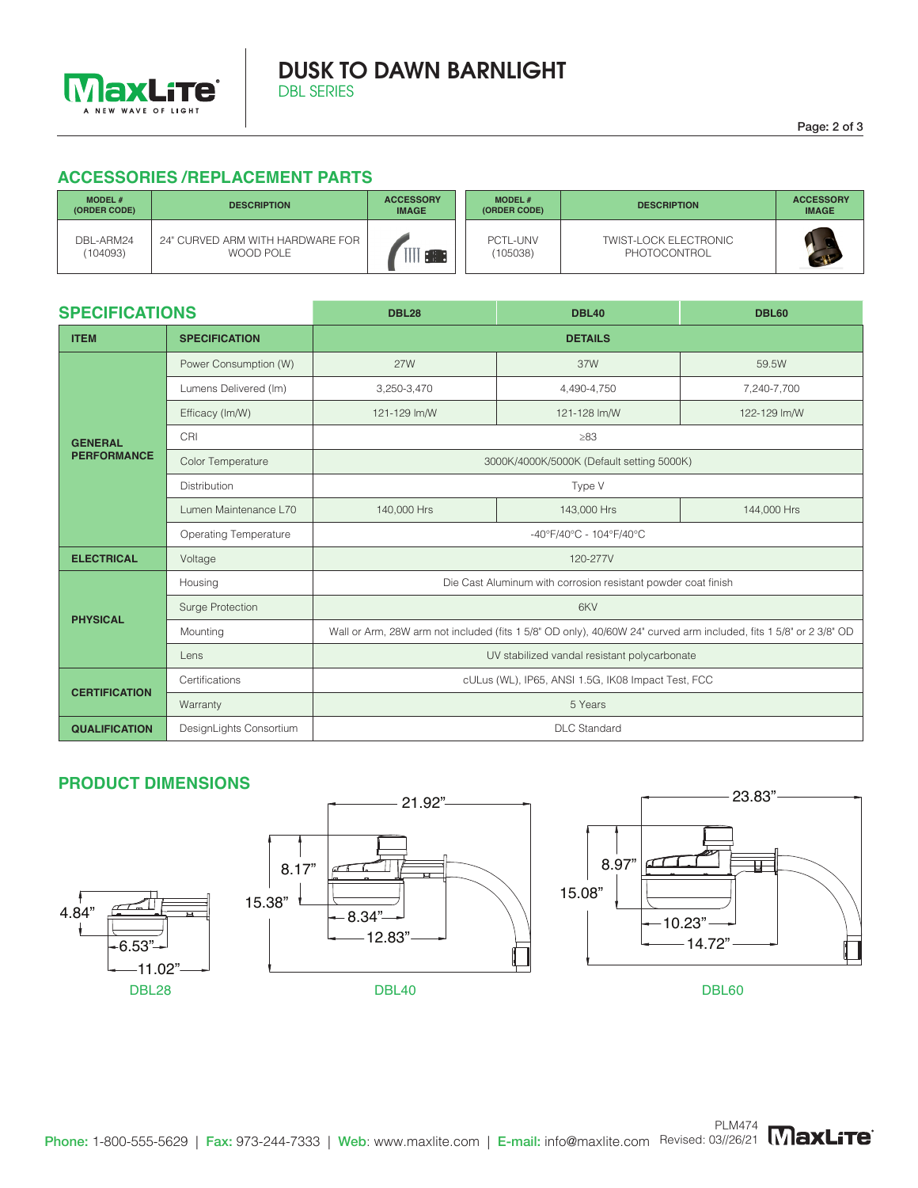

### DUSK TO DAWN BARNLIGHT DBL SERIES

## **ACCESSORIES /REPLACEMENT PARTS**

| <b>MODEL#</b><br>(ORDER CODE) | <b>DESCRIPTION</b>                            | <b>ACCESSORY</b><br><b>IMAGE</b> | <b>MODEL#</b><br>(ORDER CODE) | <b>DESCRIPTION</b>                           | <b>ACCESSORY</b><br><b>IMAGE</b> |
|-------------------------------|-----------------------------------------------|----------------------------------|-------------------------------|----------------------------------------------|----------------------------------|
| DBL-ARM24<br>(104093)         | 24" CURVED ARM WITH HARDWARE FOR<br>WOOD POLE | $\sim$ 11 $\sim$                 | PCTL-UNV<br>(105038)          | <b>TWIST-LOCK ELECTRONIC</b><br>PHOTOCONTROL |                                  |

| <b>SPECIFICATIONS</b>                |                              | <b>DBL28</b>                                                                                                      | <b>DBL60</b> |              |  |  |  |  |
|--------------------------------------|------------------------------|-------------------------------------------------------------------------------------------------------------------|--------------|--------------|--|--|--|--|
| <b>ITEM</b>                          | <b>SPECIFICATION</b>         | <b>DETAILS</b>                                                                                                    |              |              |  |  |  |  |
| <b>GENERAL</b><br><b>PERFORMANCE</b> | Power Consumption (W)        | <b>27W</b>                                                                                                        | 37W          | 59.5W        |  |  |  |  |
|                                      | Lumens Delivered (Im)        | 3,250-3,470                                                                                                       | 4,490-4,750  | 7,240-7,700  |  |  |  |  |
|                                      | Efficacy (Im/W)              | 121-129 lm/W                                                                                                      | 121-128 lm/W | 122-129 lm/W |  |  |  |  |
|                                      | CRI                          | $\geq 83$                                                                                                         |              |              |  |  |  |  |
|                                      | Color Temperature            | 3000K/4000K/5000K (Default setting 5000K)                                                                         |              |              |  |  |  |  |
|                                      | <b>Distribution</b>          | Type V                                                                                                            |              |              |  |  |  |  |
|                                      | Lumen Maintenance L70        | 140,000 Hrs                                                                                                       | 143,000 Hrs  | 144,000 Hrs  |  |  |  |  |
|                                      | <b>Operating Temperature</b> | -40°F/40°C - 104°F/40°C                                                                                           |              |              |  |  |  |  |
| <b>ELECTRICAL</b>                    | Voltage                      | 120-277V                                                                                                          |              |              |  |  |  |  |
| <b>PHYSICAL</b>                      | Housing                      | Die Cast Aluminum with corrosion resistant powder coat finish                                                     |              |              |  |  |  |  |
|                                      | Surge Protection             | 6KV                                                                                                               |              |              |  |  |  |  |
|                                      | Mounting                     | Wall or Arm, 28W arm not included (fits 1 5/8" OD only), 40/60W 24" curved arm included, fits 1 5/8" or 2 3/8" OD |              |              |  |  |  |  |
|                                      | Lens                         | UV stabilized vandal resistant polycarbonate                                                                      |              |              |  |  |  |  |
| <b>CERTIFICATION</b>                 | Certifications               | cULus (WL), IP65, ANSI 1.5G, IK08 Impact Test, FCC                                                                |              |              |  |  |  |  |
|                                      | Warranty                     | 5 Years                                                                                                           |              |              |  |  |  |  |
| <b>QUALIFICATION</b>                 | DesignLights Consortium      | <b>DLC</b> Standard                                                                                               |              |              |  |  |  |  |

## **PRODUCT DIMENSIONS**